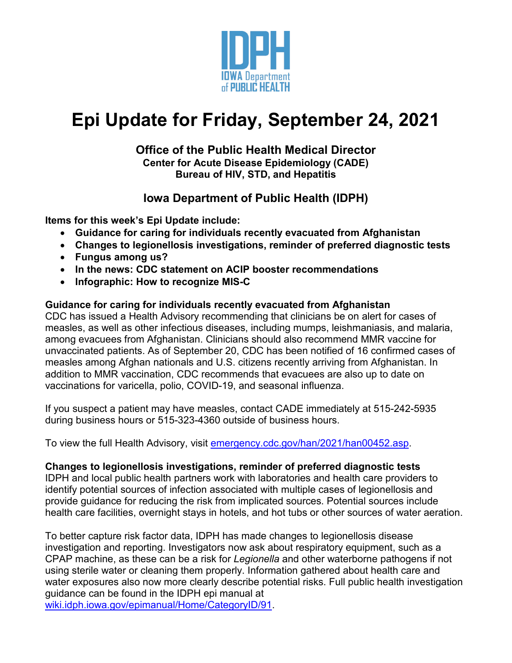

# **Epi Update for Friday, September 24, 2021**

#### **Office of the Public Health Medical Director Center for Acute Disease Epidemiology (CADE) Bureau of HIV, STD, and Hepatitis**

## **Iowa Department of Public Health (IDPH)**

**Items for this week's Epi Update include:**

- **Guidance for caring for individuals recently evacuated from Afghanistan**
- **Changes to legionellosis investigations, reminder of preferred diagnostic tests**
- **Fungus among us?**
- **In the news: CDC statement on ACIP booster recommendations**
- **Infographic: How to recognize MIS-C**

#### **Guidance for caring for individuals recently evacuated from Afghanistan**

CDC has issued a Health Advisory recommending that clinicians be on alert for cases of measles, as well as other infectious diseases, including mumps, leishmaniasis, and malaria, among evacuees from Afghanistan. Clinicians should also recommend MMR vaccine for unvaccinated patients. As of September 20, CDC has been notified of 16 confirmed cases of measles among Afghan nationals and U.S. citizens recently arriving from Afghanistan. In addition to MMR vaccination, CDC recommends that evacuees are also up to date on vaccinations for varicella, polio, COVID-19, and seasonal influenza.

If you suspect a patient may have measles, contact CADE immediately at 515-242-5935 during business hours or 515-323-4360 outside of business hours.

To view the full Health Advisory, visit [emergency.cdc.gov/han/2021/han00452.asp.](https://emergency.cdc.gov/han/2021/han00452.asp)

#### **Changes to legionellosis investigations, reminder of preferred diagnostic tests**

IDPH and local public health partners work with laboratories and health care providers to identify potential sources of infection associated with multiple cases of legionellosis and provide guidance for reducing the risk from implicated sources. Potential sources include health care facilities, overnight stays in hotels, and hot tubs or other sources of water aeration.

To better capture risk factor data, IDPH has made changes to legionellosis disease investigation and reporting. Investigators now ask about respiratory equipment, such as a CPAP machine, as these can be a risk for *Legionella* and other waterborne pathogens if not using sterile water or cleaning them properly. Information gathered about health care and water exposures also now more clearly describe potential risks. Full public health investigation guidance can be found in the IDPH epi manual at

[wiki.idph.iowa.gov/epimanual/Home/CategoryID/91.](https://wiki.idph.iowa.gov/epimanual/Home/CategoryID/91)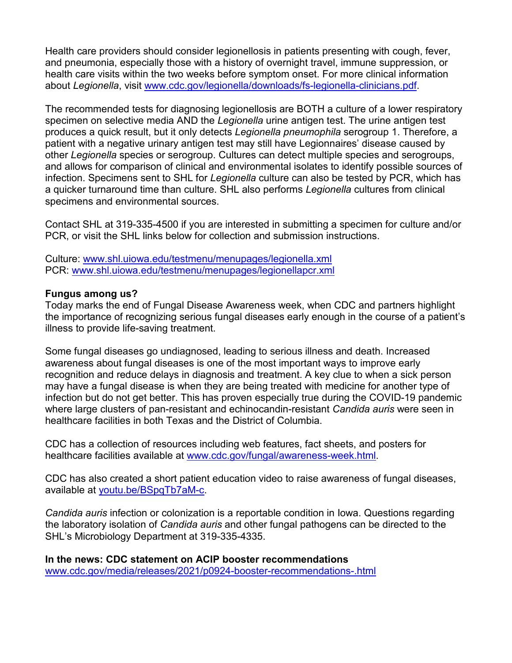Health care providers should consider legionellosis in patients presenting with cough, fever, and pneumonia, especially those with a history of overnight travel, immune suppression, or health care visits within the two weeks before symptom onset. For more clinical information about *Legionella*, visit [www.cdc.gov/legionella/downloads/fs-legionella-clinicians.pdf.](http://www.cdc.gov/legionella/downloads/fs-legionella-clinicians.pdf)

The recommended tests for diagnosing legionellosis are BOTH a culture of a lower respiratory specimen on selective media AND the *Legionella* urine antigen test. The urine antigen test produces a quick result, but it only detects *Legionella pneumophila* serogroup 1. Therefore, a patient with a negative urinary antigen test may still have Legionnaires' disease caused by other *Legionella* species or serogroup. Cultures can detect multiple species and serogroups, and allows for comparison of clinical and environmental isolates to identify possible sources of infection. Specimens sent to SHL for *Legionella* culture can also be tested by PCR, which has a quicker turnaround time than culture. SHL also performs *Legionella* cultures from clinical specimens and environmental sources.

Contact SHL at 319-335-4500 if you are interested in submitting a specimen for culture and/or PCR, or visit the SHL links below for collection and submission instructions.

Culture: [www.shl.uiowa.edu/testmenu/menupages/legionella.xml](http://www.shl.uiowa.edu/testmenu/menupages/legionella.xml) PCR: [www.shl.uiowa.edu/testmenu/menupages/legionellapcr.xml](http://www.shl.uiowa.edu/testmenu/menupages/legionellapcr.xml)

#### **Fungus among us?**

Today marks the end of Fungal Disease Awareness week, when CDC and partners highlight the importance of recognizing serious fungal diseases early enough in the course of a patient's illness to provide life-saving treatment.

Some fungal diseases go undiagnosed, leading to serious illness and death. Increased awareness about fungal diseases is one of the most important ways to improve early recognition and reduce delays in diagnosis and treatment. A key clue to when a sick person may have a fungal disease is when they are being treated with medicine for another type of infection but do not get better. This has proven especially true during the COVID-19 pandemic where large clusters of pan-resistant and echinocandin-resistant *Candida auris* were seen in healthcare facilities in both Texas and the District of Columbia.

CDC has a collection of resources including web features, fact sheets, and posters for healthcare facilities available at [www.cdc.gov/fungal/awareness-week.html.](http://www.cdc.gov/fungal/awareness-week.html)

CDC has also created a short patient education video to raise awareness of fungal diseases, available at [youtu.be/BSpqTb7aM-c.](https://youtu.be/BSpqTb7aM-c)

*Candida auris* infection or colonization is a reportable condition in Iowa. Questions regarding the laboratory isolation of *Candida auris* and other fungal pathogens can be directed to the SHL's Microbiology Department at 319-335-4335.

**In the news: CDC statement on ACIP booster recommendations** [www.cdc.gov/media/releases/2021/p0924-booster-recommendations-.html](http://www.cdc.gov/media/releases/2021/p0924-booster-recommendations-.html)